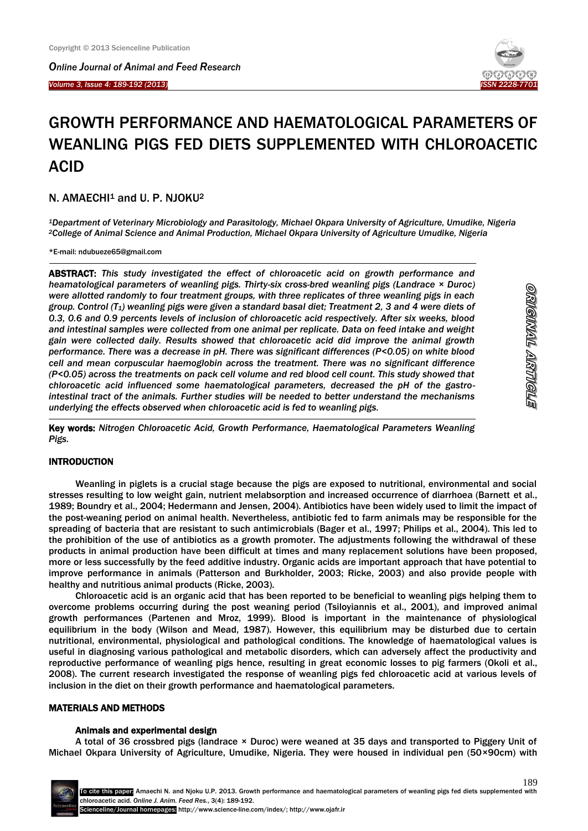*Online Journal of Animal and Feed Research* 

*Volume 3, Issue 4: 189-192 (2013)*  İ



# GROWTH PERFORMANCE AND HAEMATOLOGICAL PARAMETERS OF WEANLING PIGS FED DIETS SUPPLEMENTED WITH CHLOROACETIC ACID

# N. AMAECHI<sup>1</sup> and U. P. NJOKU<sup>2</sup>

*<sup>1</sup>Department of Veterinary Microbiology and Parasitology, Michael Okpara University of Agriculture, Umudike, Nigeria <sup>2</sup>College of Animal Science and Animal Production, Michael Okpara University of Agriculture Umudike, Nigeria*

\*E-mail: [ndubueze65@gmail.com](mailto:ndubueze65@gmail.com)

1

-

ABSTRACT: *This study investigated the effect of chloroacetic acid on growth performance and heamatological parameters of weanling pigs. Thirty-six cross-bred weanling pigs (Landrace × Duroc) were allotted randomly to four treatment groups, with three replicates of three weanling pigs in each group. Control (T1) weanling pigs were given a standard basal diet; Treatment 2, 3 and 4 were diets of 0.3, 0.6 and 0.9 percents levels of inclusion of chloroacetic acid respectively. After six weeks, blood and intestinal samples were collected from one animal per replicate. Data on feed intake and weight gain were collected daily. Results showed that chloroacetic acid did improve the animal growth performance. There was a decrease in pH. There was significant differences (P<0.05) on white blood cell and mean corpuscular haemoglobin across the treatment. There was no significant difference (P<0.05) across the treatments on pack cell volume and red blood cell count. This study showed that chloroacetic acid influenced some haematological parameters, decreased the pH of the gastrointestinal tract of the animals. Further studies will be needed to better understand the mechanisms underlying the effects observed when chloroacetic acid is fed to weanling pigs.*

Key words: *Nitrogen Chloroacetic Acid, Growth Performance, Haematological Parameters Weanling Pigs.*

## INTRODUCTION

Weanling in piglets is a crucial stage because the pigs are exposed to nutritional, environmental and social stresses resulting to low weight gain, nutrient melabsorption and increased occurrence of diarrhoea (Barnett et al., 1989; Boundry et al., 2004; Hedermann and Jensen, 2004). Antibiotics have been widely used to limit the impact of the post-weaning period on animal health. Nevertheless, antibiotic fed to farm animals may be responsible for the spreading of bacteria that are resistant to such antimicrobials (Bager et al., 1997; Philips et al., 2004). This led to the prohibition of the use of antibiotics as a growth promoter. The adjustments following the withdrawal of these products in animal production have been difficult at times and many replacement solutions have been proposed, more or less successfully by the feed additive industry. Organic acids are important approach that have potential to improve performance in animals (Patterson and Burkholder, 2003; Ricke, 2003) and also provide people with healthy and nutritious animal products (Ricke, 2003).

Chloroacetic acid is an organic acid that has been reported to be beneficial to weanling pigs helping them to overcome problems occurring during the post weaning period (Tsiloyiannis et al., 2001), and improved animal growth performances (Partenen and Mroz, 1999). Blood is important in the maintenance of physiological equilibrium in the body (Wilson and Mead, 1987). However, this equilibrium may be disturbed due to certain nutritional, environmental, physiological and pathological conditions. The knowledge of haematological values is useful in diagnosing various pathological and metabolic disorders, which can adversely affect the productivity and reproductive performance of weanling pigs hence, resulting in great economic losses to pig farmers (Okoli et al., 2008). The current research investigated the response of weanling pigs fed chloroacetic acid at various levels of inclusion in the diet on their growth performance and haematological parameters.

## MATERIALS AND METHODS

#### Animals and experimental design

A total of 36 crossbred pigs (landrace × Duroc) were weaned at 35 days and transported to Piggery Unit of Michael Okpara University of Agriculture, Umudike, Nigeria. They were housed in individual pen (50×90cm) with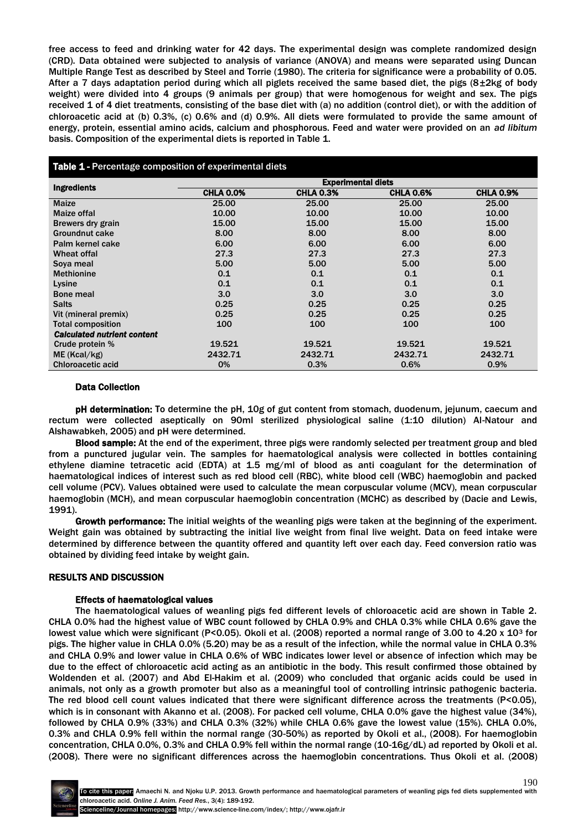free access to feed and drinking water for 42 days. The experimental design was complete randomized design (CRD). Data obtained were subjected to analysis of variance (ANOVA) and means were separated using Duncan Multiple Range Test as described by Steel and Torrie (1980). The criteria for significance were a probability of 0.05. After a 7 days adaptation period during which all piglets received the same based diet, the pigs  $(8\pm 2kg)$  of body weight) were divided into 4 groups (9 animals per group) that were homogenous for weight and sex. The pigs received 1 of 4 diet treatments, consisting of the base diet with (a) no addition (control diet), or with the addition of chloroacetic acid at (b) 0.3%, (c) 0.6% and (d) 0.9%. All diets were formulated to provide the same amount of energy, protein, essential amino acids, calcium and phosphorous. Feed and water were provided on an *ad libitum*  basis. Composition of the experimental diets is reported in Table 1.

| <b>Table 1 - Percentage composition of experimental diets</b> |                           |                  |                  |                  |  |
|---------------------------------------------------------------|---------------------------|------------------|------------------|------------------|--|
| <b>Ingredients</b>                                            | <b>Experimental diets</b> |                  |                  |                  |  |
|                                                               | <b>CHLA 0.0%</b>          | <b>CHLA 0.3%</b> | <b>CHLA 0.6%</b> | <b>CHLA 0.9%</b> |  |
| <b>Maize</b>                                                  | 25.00                     | 25.00            | 25.00            | 25.00            |  |
| Maize offal                                                   | 10.00                     | 10.00            | 10.00            | 10.00            |  |
| Brewers dry grain                                             | 15.00                     | 15.00            | 15.00            | 15.00            |  |
| Groundnut cake                                                | 8.00                      | 8.00             | 8.00             | 8.00             |  |
| Palm kernel cake                                              | 6.00                      | 6.00             | 6.00             | 6.00             |  |
| Wheat offal                                                   | 27.3                      | 27.3             | 27.3             | 27.3             |  |
| Sova meal                                                     | 5.00                      | 5.00             | 5.00             | 5.00             |  |
| <b>Methionine</b>                                             | 0.1                       | 0.1              | 0.1              | 0.1              |  |
| Lysine                                                        | 0.1                       | 0.1              | 0.1              | 0.1              |  |
| <b>Bone meal</b>                                              | 3.0                       | 3.0              | 3.0              | 3.0              |  |
| <b>Salts</b>                                                  | 0.25                      | 0.25             | 0.25             | 0.25             |  |
| Vit (mineral premix)                                          | 0.25                      | 0.25             | 0.25             | 0.25             |  |
| <b>Total composition</b>                                      | 100                       | 100              | 100              | 100              |  |
| <b>Calculated nutrient content</b>                            |                           |                  |                  |                  |  |
| Crude protein %                                               | 19.521                    | 19.521           | 19.521           | 19.521           |  |
| ME (Kcal/kg)                                                  | 2432.71                   | 2432.71          | 2432.71          | 2432.71          |  |
| <b>Chloroacetic acid</b>                                      | 0%                        | 0.3%             | 0.6%             | 0.9%             |  |

## Data Collection

pH determination: To determine the pH, 10g of gut content from stomach, duodenum, jejunum, caecum and rectum were collected aseptically on 90ml sterilized physiological saline (1:10 dilution) Al-Natour and Alshawabkeh, 2005) and pH were determined.

Blood sample: At the end of the experiment, three pigs were randomly selected per treatment group and bled from a punctured jugular vein. The samples for haematological analysis were collected in bottles containing ethylene diamine tetracetic acid (EDTA) at 1.5 mg/ml of blood as anti coagulant for the determination of haematological indices of interest such as red blood cell (RBC), white blood cell (WBC) haemoglobin and packed cell volume (PCV). Values obtained were used to calculate the mean corpuscular volume (MCV), mean corpuscular haemoglobin (MCH), and mean corpuscular haemoglobin concentration (MCHC) as described by (Dacie and Lewis, 1991).

Growth performance: The initial weights of the weanling pigs were taken at the beginning of the experiment. Weight gain was obtained by subtracting the initial live weight from final live weight. Data on feed intake were determined by difference between the quantity offered and quantity left over each day. Feed conversion ratio was obtained by dividing feed intake by weight gain.

# RESULTS AND DISCUSSION

## Effects of haematological values

The haematological values of weanling pigs fed different levels of chloroacetic acid are shown in Table 2. CHLA 0.0% had the highest value of WBC count followed by CHLA 0.9% and CHLA 0.3% while CHLA 0.6% gave the lowest value which were significant (P<0.05). Okoli et al. (2008) reported a normal range of 3.00 to 4.20 x 10<sup>3</sup> for pigs. The higher value in CHLA 0.0% (5.20) may be as a result of the infection, while the normal value in CHLA 0.3% and CHLA 0.9% and lower value in CHLA 0.6% of WBC indicates lower level or absence of infection which may be due to the effect of chloroacetic acid acting as an antibiotic in the body. This result confirmed those obtained by Woldenden et al. (2007) and Abd El-Hakim et al. (2009) who concluded that organic acids could be used in animals, not only as a growth promoter but also as a meaningful tool of controlling intrinsic pathogenic bacteria. The red blood cell count values indicated that there were significant difference across the treatments (P<0.05), which is in consonant with Akanno et al. (2008). For packed cell volume, CHLA 0.0% gave the highest value (34%), followed by CHLA 0.9% (33%) and CHLA 0.3% (32%) while CHLA 0.6% gave the lowest value (15%). CHLA 0.0%, 0.3% and CHLA 0.9% fell within the normal range (30-50%) as reported by Okoli et al., (2008). For haemoglobin concentration, CHLA 0.0%, 0.3% and CHLA 0.9% fell within the normal range (10-16g/dL) ad reported by Okoli et al. (2008). There were no significant differences across the haemoglobin concentrations. Thus Okoli et al. (2008)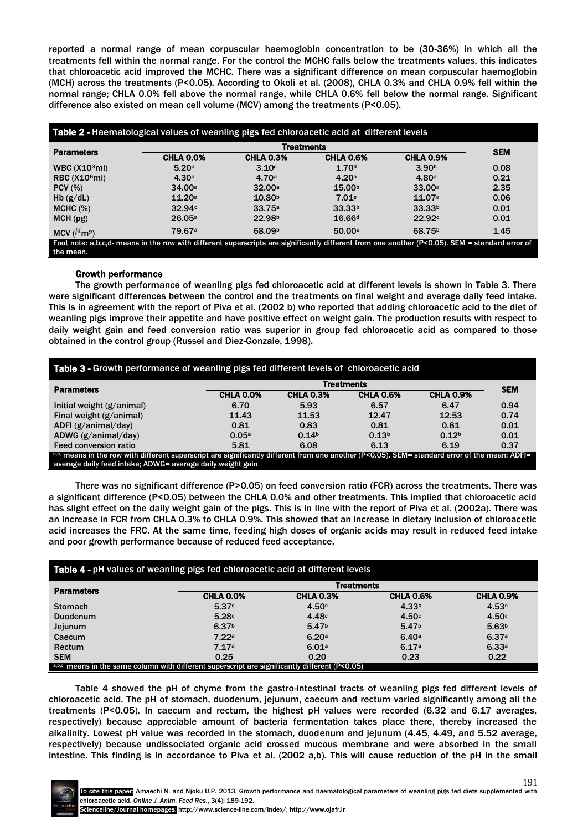reported a normal range of mean corpuscular haemoglobin concentration to be (30-36%) in which all the treatments fell within the normal range. For the control the MCHC falls below the treatments values, this indicates that chloroacetic acid improved the MCHC. There was a significant difference on mean corpuscular haemoglobin (MCH) across the treatments (P<0.05). According to Okoli et al. (2008), CHLA 0.3% and CHLA 0.9% fell within the normal range; CHLA 0.0% fell above the normal range, while CHLA 0.6% fell below the normal range. Significant difference also existed on mean cell volume (MCV) among the treatments (P<0.05).

| <b>Parameters</b>              |                    | <b>Treatments</b>  |                    |                    |            |  |
|--------------------------------|--------------------|--------------------|--------------------|--------------------|------------|--|
|                                | <b>CHLA 0.0%</b>   | <b>CHLA 0.3%</b>   | <b>CHLA 0.6%</b>   | <b>CHLA 0.9%</b>   | <b>SEM</b> |  |
| WBC $(X103ml)$                 | 5.20a              | 3.10c              | 1.70 <sup>d</sup>  | 3.90 <sup>b</sup>  | 0.08       |  |
| RBC (X10 <sup>6</sup> mI)      | 4.30a              | 4.70a              | 4.20a              | 4.80a              | 0.21       |  |
| PCV(%)                         | 34.00a             | 32.00a             | 15.00 <sup>b</sup> | 33.00a             | 2.35       |  |
| Hb(g/dL)                       | 11.20a             | 10.80 <sup>b</sup> | 7.01e              | 11.07a             | 0.06       |  |
| MCHC (%)                       | 32.94c             | 33.75a             | 33.33 <sup>b</sup> | 33.33 <sup>b</sup> | 0.01       |  |
| MCH(pg)                        | 26.05a             | 22.98 <sup>b</sup> | 16.66 <sup>d</sup> | 22.92c             | 0.01       |  |
| MCV $(^{\mu}$ m <sup>2</sup> ) | 79.67 <sup>a</sup> | 68.09 <sup>b</sup> | 50.00c             | 68.75 <sup>b</sup> | 1.45       |  |

## Growth performance

The growth performance of weanling pigs fed chloroacetic acid at different levels is shown in Table 3. There were significant differences between the control and the treatments on final weight and average daily feed intake. This is in agreement with the report of Piva et al. (2002 b) who reported that adding chloroacetic acid to the diet of weanling pigs improve their appetite and have positive effect on weight gain. The production results with respect to daily weight gain and feed conversion ratio was superior in group fed chloroacetic acid as compared to those obtained in the control group (Russel and Diez-Gonzale, 1998).

| Table 3 - Growth performance of weanling pigs fed different levels of chloroacetic acid                                                                                                                      |                   |                   |                   |                   |            |
|--------------------------------------------------------------------------------------------------------------------------------------------------------------------------------------------------------------|-------------------|-------------------|-------------------|-------------------|------------|
| <b>Parameters</b>                                                                                                                                                                                            | <b>Treatments</b> |                   |                   |                   | <b>SEM</b> |
|                                                                                                                                                                                                              | <b>CHLA 0.0%</b>  | <b>CHLA 0.3%</b>  | <b>CHLA 0.6%</b>  | <b>CHLA 0.9%</b>  |            |
| Initial weight (g/animal)                                                                                                                                                                                    | 6.70              | 5.93              | 6.57              | 6.47              | 0.94       |
| Final weight (g/animal)                                                                                                                                                                                      | 11.43             | 11.53             | 12.47             | 12.53             | 0.74       |
| ADFI $(g/animal/day)$                                                                                                                                                                                        | 0.81              | 0.83              | 0.81              | 0.81              | 0.01       |
| ADWG $(g/animal/day)$                                                                                                                                                                                        | 0.05a             | 0.14 <sup>b</sup> | 0.13 <sup>b</sup> | 0.12 <sup>b</sup> | 0.01       |
| Feed conversion ratio                                                                                                                                                                                        | 5.81              | 6.08              | 6.13              | 6.19              | 0.37       |
| a,b. means in the row with different superscript are significantly different from one another (P<0.05). SEM= standard error of the mean; ADFI=<br>average daily feed intake; ADWG= average daily weight gain |                   |                   |                   |                   |            |

There was no significant difference (P>0.05) on feed conversion ratio (FCR) across the treatments. There was a significant difference (P<0.05) between the CHLA 0.0% and other treatments. This implied that chloroacetic acid has slight effect on the daily weight gain of the pigs. This is in line with the report of Piva et al. (2002a). There was an increase in FCR from CHLA 0.3% to CHLA 0.9%. This showed that an increase in dietary inclusion of chloroacetic acid increases the FRC. At the same time, feeding high doses of organic acids may result in reduced feed intake and poor growth performance because of reduced feed acceptance.

| Table 4 - pH values of weanling pigs fed chloroacetic acid at different levels                  |                   |                   |                   |                   |  |
|-------------------------------------------------------------------------------------------------|-------------------|-------------------|-------------------|-------------------|--|
| <b>Parameters</b>                                                                               | <b>Treatments</b> |                   |                   |                   |  |
|                                                                                                 | <b>CHLA 0.0%</b>  | <b>CHLA 0.3%</b>  | <b>CHLA 0.6%</b>  | <b>CHLA 0.9%</b>  |  |
| <b>Stomach</b>                                                                                  | 5.37c             | 4.50c             | 4.33c             | 4.53c             |  |
| <b>Duodenum</b>                                                                                 | 5.28c             | 4.48 <sup>c</sup> | 4.50c             | 4.50c             |  |
| Jejunum                                                                                         | 6.37 <sup>b</sup> | 5.47 <sup>b</sup> | 5.47 <sup>b</sup> | 5.63 <sup>b</sup> |  |
| Caecum                                                                                          | 7.22a             | 6.20a             | 6.40a             | 6.37a             |  |
| Rectum                                                                                          | 7.17a             | 6.01a             | 6.17a             | 6.33a             |  |
| <b>SEM</b>                                                                                      | 0.25              | 0.20              | 0.23              | 0.22              |  |
| a,b,c, means in the same column with different superscript are significantly different (P<0.05) |                   |                   |                   |                   |  |

Table 4 showed the pH of chyme from the gastro-intestinal tracts of weanling pigs fed different levels of chloroacetic acid. The pH of stomach, duodenum, jejunum, caecum and rectum varied significantly among all the treatments (P<0.05). In caecum and rectum, the highest pH values were recorded (6.32 and 6.17 averages, respectively) because appreciable amount of bacteria fermentation takes place there, thereby increased the alkalinity. Lowest pH value was recorded in the stomach, duodenum and jejunum (4.45, 4.49, and 5.52 average, respectively) because undissociated organic acid crossed mucous membrane and were absorbed in the small intestine. This finding is in accordance to Piva et al. (2002 a,b). This will cause reduction of the pH in the small